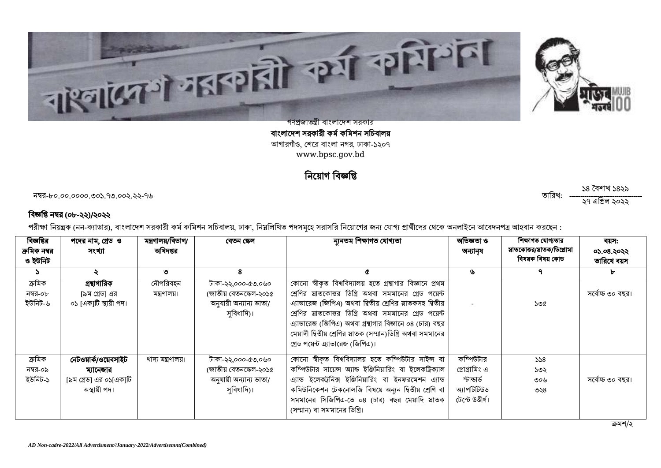



গণপ্রজাতন্ত্রী বাংলাদেশ সরকার বাংলাদেশ সরকারী কর্ম কমিশন সচিবালয় আগারগাঁও, শেরে বাংলা নগর, ঢাকা-১২০৭ [www.bpsc.gov.bd](http://www.bpsc.gov.bd/)

#### নিয়োগ

-৮০.০০.০০০০.৩০১.৭৩.০০২.২২-৭৬ :

১৪ বৈশাখ ১৪২৯ ২৭ ২০২২

#### বিজ্ঞপ্তি নম্বর (০৮-২২)/২০২২

পরীক্ষা নিয়ন্ত্রক (নন-ক্যাডার), বাংলাদেশ সরকারী কর্ম কমিশন সচিবালয়, ঢাকা, নিয়লিখিত পদসমূহে সরাসরি নিয়োগের জন্য প্রার্গিদের থেকে অনলাইনে আবেদনপত্র আহবান করছেন :

| বিজ্ঞপ্তির<br>ক্রমিক নম্বর    | পদের নাম, গ্রেড ও<br>সংখ্যা                                                 | মন্ত্ৰণালয়/বিভাগ/<br>অধিদপ্তর | বেতন স্কেল                                                                            | ন্যুনতম শিক্ষাগত যোগ্যতা                                                                                                                                                                                                                                                                                                                                                                               | অভিজ্ঞতা ও<br>অন্যান্য                                                       | শিক্ষাগত যোগ্যতার<br>য়াতকোত্তর/য়াতক/ডিপ্লোমা | বয়স:<br>05.08.২০২২ |
|-------------------------------|-----------------------------------------------------------------------------|--------------------------------|---------------------------------------------------------------------------------------|--------------------------------------------------------------------------------------------------------------------------------------------------------------------------------------------------------------------------------------------------------------------------------------------------------------------------------------------------------------------------------------------------------|------------------------------------------------------------------------------|------------------------------------------------|---------------------|
| ও ইউনিট                       |                                                                             |                                |                                                                                       |                                                                                                                                                                                                                                                                                                                                                                                                        |                                                                              | বিষয়ক বিষয় কোড                               | তারিখে বয়স         |
| $\mathcal{L}$                 | ১                                                                           | ৩                              | 8                                                                                     | ¢                                                                                                                                                                                                                                                                                                                                                                                                      | ৬                                                                            | ٩                                              | ъ                   |
| ক্ৰমিক<br>নম্বর-০৮<br>ইউনিট-৬ | গ্ৰন্থাগারিক<br>[৯ম গ্রেড] এর<br>০১ [এক]টি স্থায়ী পদ।                      | নৌপরিবহন<br>মন্ত্ৰণালয়।       | টাকা-২২,০০০-৫৩,০৬০<br>(জাতীয় বেতনস্কেল-২০১৫<br>অনুযায়ী অন্যান্য ভাতা/<br>সুবিধাদি)। | কোনো স্বীকৃত বিশ্ববিদ্যালয় হতে গ্রন্থাগার বিজ্ঞানে প্রথম<br>শ্রেণির স্নাতকোত্তর ডিগ্রি অথবা সমমানের গ্রেড পয়েন্ট<br>এ্যাভারেজ (জিপিএ) অথবা দ্বিতীয় শ্রেণির স্নাতকসহ দ্বিতীয়<br>শ্রেণির স্নাতকোত্তর ডিগ্রি অথবা সমমানের গ্রেড পয়েন্ট<br>এ্যাভারেজ (জিপিএ) অথবা গ্রন্থাগার বিজ্ঞানে ০৪ (চার) বছর<br>মেয়াদী দ্বিতীয় শ্রেণির স্নাতক (সম্মান)ডিগ্রি অথবা সমমানের<br>গ্রেড পয়েন্ট এ্যাভারেজ (জিপিএ)। |                                                                              | ১৩৫                                            | সৰ্বোচ্চ ৩০ বছর।    |
| ক্ৰমিক<br>নম্বর-০৯<br>ইউনিট-১ | নেটওয়ার্ক/ওয়েবসাইট<br>ম্যানেজার<br>[৯ম গ্রেড] এর ০১[এক]টি<br>অস্থায়ী পদ। | খাদ্য মন্ত্ৰণালয়।             | টাকা-২২,০০০-৫৩,০৬০<br>(জাতীয় বেতনস্কেল-২০১৫<br>অনুযায়ী অন্যান্য ভাতা/<br>সুবিধাদি)। | কোনো স্বীকৃত বিশ্ববিদ্যালয় হতে কম্পিউটার সাইন্স বা<br>কম্পিউটার সায়েন্স অ্যান্ড ইঞ্জিনিয়ারিং বা ইলেকট্রিক্যাল<br>এ্যান্ড ইলেকট্রনিক্স ইঞ্জিনিয়ারিং বা ইনফরমেশন এ্যান্ড<br>কমিউনিকেশন টেকনোলজি বিষয়ে অন্যন দ্বিতীয় শ্রেণি বা<br>সমমানের সিজিপিএ-তে ০৪ (চার) বছর মেয়াদি স্নাতক<br>(সম্মান) বা সমমানের ডিগ্রি।                                                                                     | কম্পিউটার<br>প্রোগ্রামিং এ<br>স্টান্ডার্ড<br>অ্যাপটিটিউড<br>টেস্টে উত্তীৰ্ণ। | 558<br>১৩২<br>৩০৬<br>৩২৪                       | সৰ্বোচ্চ ৩০ বছর।    |

ক্ৰমশ/২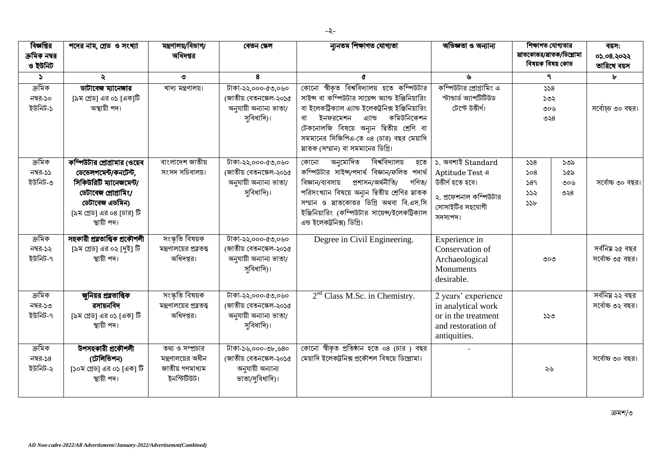| বিজ্ঞপ্তির<br>ক্ৰমিক নম্বর<br>ও ইউনিট | পদের নাম, গ্রেড ও সংখ্যা                                                                                                                                              | মন্ত্ৰণালয়/বিভাগ/<br>অধিদপ্তর                                                    | বেতন স্কেল                                                                            | ন্যুনতম শিক্ষাগত যোগ্যতা                                                                                                                                                                                                                                                                                                        | অভিজ্ঞতা ও অন্যান্য                                                                                                 | শিক্ষাগত যোগ্যতার<br>য়াতকোত্তর/য়াতক/ডিপ্লোমা<br>বিষয়ক বিষয় কোড |                          | বয়স:<br>০১.০৪.২০২২<br>তারিখে বয়স  |
|---------------------------------------|-----------------------------------------------------------------------------------------------------------------------------------------------------------------------|-----------------------------------------------------------------------------------|---------------------------------------------------------------------------------------|---------------------------------------------------------------------------------------------------------------------------------------------------------------------------------------------------------------------------------------------------------------------------------------------------------------------------------|---------------------------------------------------------------------------------------------------------------------|--------------------------------------------------------------------|--------------------------|-------------------------------------|
| $\Delta$                              | ₹                                                                                                                                                                     | ৩                                                                                 | 8                                                                                     | $\mathfrak{C}$                                                                                                                                                                                                                                                                                                                  | ৬                                                                                                                   | ٩                                                                  |                          | Ъ                                   |
| ক্ৰমিক<br>নম্বর-১০<br>ইউনিট-১         | ডাটাবেজ ম্যানেজার<br>[৯ম গ্রেড] এর ০১ [এক]টি<br>অস্থায়ী পদ।                                                                                                          | খাদ্য মন্ত্ৰণালয়।                                                                | টাকা-২২,০০০-৫৩,০৬০<br>(জাতীয় বেতনস্কেল-২০১৫<br>অনুযায়ী অন্যান্য ভাতা/<br>সুবিধাদি)। | কোনো স্বীকৃত বিশ্ববিদ্যালয় হতে কম্পিউটার<br>সাইন্স বা কম্পিউটার সায়েন্স অ্যান্ড ইঞ্জিনিয়ারিং<br>বা ইলেকট্রিক্যাল এ্যান্ড ইলেকট্রনিক্স ইঞ্জিনিয়ারিং<br>কমিউনিকেশন<br>বা<br>ইনফরমেশন<br>এ্যান্ড<br>টেকনোলজি বিষয়ে অন্যুন দ্বিতীয় শ্ৰেণি বা<br>সমমানের সিজিপিএ-তে ০৪ (চার) বছর মেয়াদি<br>স্নাতক (সম্মান) বা সমমানের ডিগ্রি। | কম্পিউটার প্রোগ্রামিং এ<br>স্টান্ডাৰ্ড অ্যাপটিটিউড<br>টেস্টে উত্তীৰ্ণ।                                              | 558<br>১৩২<br>৩০৬<br>৩২৪                                           |                          | সৰ্বোচ্চ ৩০ বছর।                    |
| ক্ৰমিক<br>নম্বর-১১<br>ইউনিট-৩         | কম্পিউটার প্রোগ্রামার (ওয়েব<br>ডেভেলপমেন্ট/কনটেন্ট,<br>সিকিউরিটি ম্যানেজমেন্ট/<br>ডেটাবেজ প্ৰোগ্ৰামিং/<br>ডেটাবেজ এডমিন)<br>[৯ম গ্রেড] এর ০৪ [চার] টি<br>স্থায়ী পদ। | বাংলাদেশ জাতীয়<br>সংসদ সচিবালয়।                                                 | টাকা-২২,০০০-৫৩,০৬০<br>জোতীয় বেতনস্কেল-২০১৫<br>অনুযায়ী অন্যান্য ভাতা/<br>সবিধাদি)।   | অনুমোদিত<br>বিশ্ববিদ্যালয়<br>হতে<br>কোনো<br>কম্পিউটার সাইন্স/পদার্থ বিজ্ঞান/ফলিত পদার্থ<br>প্ৰশাসন/অৰ্থনীতি/<br>বিজ্ঞান/ব্যবসায়<br>গণিত/<br>পরিসংখ্যান বিষয়ে অন্যন দ্বিতীয় শ্রেণির স্নাতক<br>সম্মান ও য়াতকোত্তর ডিগ্রি অথবা বি.এস.সি<br>ইঞ্জিনিয়ারিং (কম্পিউটার সায়েন্স/ইলেকট্রিক্যাল<br>এন্ড ইলেকট্রনিক্স) ডিগ্রি।      | ১. অবশ্যই Standard<br>Aptitude Test 4<br>উত্তীৰ্ণ হতে হবে।<br>২. প্রফেশনাল কম্পিউটার<br>সোসাইটির সহযোগী<br>সদস্যপদ। | 558<br>508<br>589<br>555<br>55b                                    | ১৩৯<br>১৫৯<br>৩০৬<br>৩২৪ | সৰ্বোচ্চ ৩০ বছর।                    |
| ক্ৰমিক<br>নম্বর-১২<br>ইউনিট-৭         | সহকারী প্রত্নতাত্ত্বিক প্রকৌশলী<br>[৯ম গ্রেড] এর ০২ [দুই] টি<br>স্থায়ী পদ।                                                                                           | সংস্কৃতি বিষয়ক<br>মন্ত্রণালয়ের প্রত্নতত্ত্ব<br>অধিদপ্তর।                        | টাকা-২২,০০০-৫৩,০৬০<br>(জাতীয় বেতনস্কেল-২০১৫<br>অনুযায়ী অন্যান্য ভাতা/<br>সবিধাদি)।  | Degree in Civil Engineering.                                                                                                                                                                                                                                                                                                    | Experience in<br>Conservation of<br>Archaeological<br>Monuments<br>desirable.                                       | ৩০৩                                                                |                          | সর্বনিয় ২৫ বছর<br>সৰ্বোচ্চ ৩৫ বছর। |
| ক্ৰমিক<br>নম্বর-১৩<br>ইউনিট-৭         | জুনিয়র প্রত্নতাত্ত্বিক<br>রসায়নবিদ<br>[৯ম গ্রেড] এর ০১ [এক] টি<br>স্থায়ী পদ।                                                                                       | সংস্কৃতি বিষয়ক<br>মন্ত্রণালয়ের প্রত্নতত্ত্ব<br>অধিদপ্তর।                        | টাকা-২২,০০০-৫৩,০৬০<br>জোতীয় বেতনস্কেল-২০১৫<br>অনুযায়ী অন্যান্য ভাতা/<br>সুবিধাদি)।  | 2 <sup>nd</sup> Class M.Sc. in Chemistry.                                                                                                                                                                                                                                                                                       | 2 years' experience<br>in analytical work<br>or in the treatment<br>and restoration of<br>antiquities.              | ১১৩                                                                |                          | সর্বনিয় ২২ বছর<br>সৰ্বোচ্চ ৩২ বছর। |
| ক্ৰমিক<br>নম্বর-১৪<br>ইউনিট-২         | উপসহকারী প্রকৌশলী<br>(টেলিভিশন)<br>[১০ম গ্রেড] এর ০১ [এক] টি<br>স্থায়ী পদ।                                                                                           | তথ্য ও সম্প্রচার<br>মন্ত্রণালয়ের অধীন<br>জাতীয় গণমাধ্যম<br>। <b>ਹੱ</b> छਹीछोन्ड | টাকা-১৬,০০০-৩৮,৬৪০<br>(জাতীয় বেতনস্কেল-২০১৫<br>অনুযায়ী অন্যান্য<br>ভাতা/সুবিধাদি)।  | কোনো স্বীকৃত প্রতিষ্ঠান হতে ০৪ (চার) বছর<br>মেয়াদি ইলেকট্রনিক্স প্রকৌশল বিষয়ে ডিপ্লোমা।                                                                                                                                                                                                                                       |                                                                                                                     | ২৬                                                                 |                          | সৰ্বোচ্চ ৩০ বছর।                    |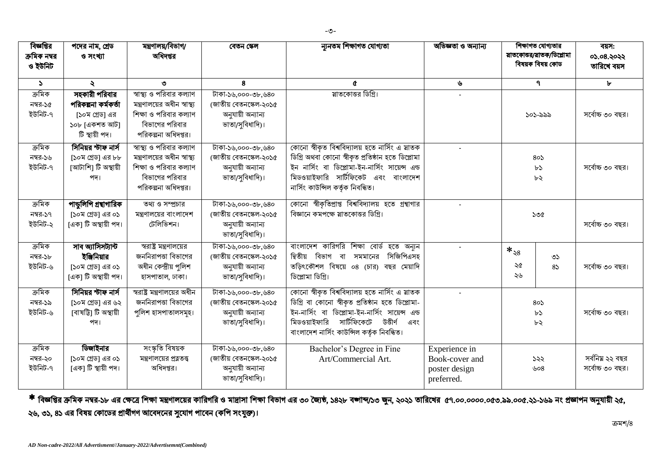| বিজ্ঞপ্তির    | পদের নাম, গ্রেড         | মন্ত্ৰণালয়/বিভাগ/            | বেতন স্কেল             | ন্যনতম শিক্ষাগত যোগ্যতা                            | অভিজ্ঞতা ও অন্যান্য |               | শিক্ষাগত যোগ্যতার         | বয়স:            |
|---------------|-------------------------|-------------------------------|------------------------|----------------------------------------------------|---------------------|---------------|---------------------------|------------------|
| ক্রমিক নম্বর  | ও সংখ্যা                | অধিদপ্তর                      |                        |                                                    |                     |               | য়াতকোত্তর/য়াতক/ডিপ্লোমা | 05.08.2022       |
| ও ইউনিট       |                         |                               |                        |                                                    |                     |               | বিষয়ক বিষয় কোড          | তারিখে বয়স      |
|               |                         |                               |                        |                                                    |                     |               |                           |                  |
| $\mathcal{L}$ | $\ddot{\mathbf{z}}$     | ৩                             | 8                      | $\mathfrak{C}$                                     | ৬                   |               | $\mathbf{q}$              | Ъ                |
| ক্ৰমিক        | সহকারী পরিবার           | স্বাস্থ্য ও পরিবার কল্যাণ     | টাকা-১৬,০০০-৩৮,৬৪০     | য়াতকোত্তর ডিগ্রি।                                 |                     |               |                           |                  |
| নম্বর-১৫      | পরিকল্পনা কর্মকর্তা     | মন্ত্রণালয়ের অধীন স্বাস্থ্য  | (জাতীয় বেতনস্কেল-২০১৫ |                                                    |                     |               |                           |                  |
| ইউনিট-৭       | [১০ম গ্রেড] এর          | শিক্ষা ও পরিবার কল্যাণ        | অনুযায়ী অন্যান্য      |                                                    |                     |               | ১০১-৯৯৯                   | সৰ্বোচ্চ ৩০ বছর। |
|               | ১০৮ [একশত আট]           | বিভাগের পরিবার                | ভাতা/সুবিধাদি)।        |                                                    |                     |               |                           |                  |
|               | টি স্থায়ী পদ।          | পরিকল্পনা অধিদপ্তর।           |                        |                                                    |                     |               |                           |                  |
| ক্ৰমিক        | সিনিয়র স্টাফ নার্স     | স্বাস্থ্য ও পরিবার কল্যাণ     | টাকা-১৬,০০০-৩৮,৬৪০     | কোনো স্বীকৃত বিশ্ববিদ্যালয় হতে নার্সিং এ স্নাতক   |                     |               |                           |                  |
| নম্বর-১৬      | [১০ম গ্রেড] এর ৮৮       | মন্ত্রণালয়ের অধীন স্বাস্থ্য  | (জাতীয় বেতনস্কেল-২০১৫ | ডিগ্রি অথবা কোনো স্বীকৃত প্রতিষ্ঠান হতে ডিপ্লোমা   |                     |               | 80                        |                  |
| ইউনিট-৭       | [আটাশি] টি অস্থায়ী     | শিক্ষা ও পরিবার কল্যাণ        | অনুযায়ী অন্যান্য      | ইন নার্সিং বা ডিপ্লোমা-ইন-নার্সিং সায়েন্স এন্ড    |                     |               | b3                        | সৰ্বোচ্চ ৩০ বছর। |
|               | পদ।                     | বিভাগের পরিবার                | ভাতা/সুবিধাদি)।        | মিডওয়াইফারি সার্টিফিকেট এবং বাংলাদেশ              |                     |               | ৮২                        |                  |
|               |                         | পরিকল্পনা অধিদপ্তর।           |                        | নাৰ্সিং কাউন্সিল কৰ্তৃক নিবন্ধিত।                  |                     |               |                           |                  |
|               |                         |                               |                        |                                                    |                     |               |                           |                  |
| ক্ৰমিক        | পান্ডুলিপি গ্রন্থাগারিক | তথ্য ও সম্প্রচার              | টাকা-১৬,০০০-৩৮,৬৪০     | কোনো স্বীকৃতিপ্রাপ্ত বিশ্ববিদ্যালয় হতে গ্রন্থাগার |                     |               |                           |                  |
| নম্বর-১৭      | [১০ম গ্রেড] এর ০১       | মন্ত্রণালয়ের বাংলাদেশ        | (জাতীয় বেতনস্কেল-২০১৫ | বিজ্ঞানে কমপক্ষে স্নাতকোত্তর ডিগ্রি।               |                     |               | ১৩৫                       |                  |
| ইউনিট-২       | [এক] টি অস্থায়ী পদ।    | টেলিভিশন।                     | অনুযায়ী অন্যান্য      |                                                    |                     |               |                           | সৰ্বোচ্চ ৩০ বছর। |
|               |                         |                               | ভাতা/সুবিধাদি)।        |                                                    |                     |               |                           |                  |
| ক্ৰমিক        | সাব অ্যাসিসট্যান্ট      | স্বরাষ্ট্র মন্ত্রণালয়ের      | টাকা-১৬,০০০-৩৮,৬৪০     | বাংলাদেশ কারিগরি শিক্ষা বোর্ড হতে অন্যুন           |                     | $*_\text{38}$ |                           |                  |
| নম্বর-১৮      | ইজিনিয়ার               | জননিরাপত্তা বিভাগের           | (জাতীয় বেতনস্কেল-২০১৫ | দ্বিতীয় বিভাগ বা<br>সিজিপিএসহ<br>সমমানের          |                     |               | $\circ$                   |                  |
| ইউনিট-৬       | [১০ম গ্রেড] এর ০১       | অধীন কেন্দ্ৰীয় পলিশ          | অনুযায়ী অন্যান্য      | তড়িৎকৌশল বিষয়ে ০৪ (চার) বছর মেয়াদি              |                     | ২৫            | 85                        | সৰ্বোচ্চ ৩০ বছর। |
|               | [এক] টি অস্থায়ী পদ।    | হাসপাতাল, ঢাকা।               | ভাতা/সুবিধাদি)।        | ডিপ্লোমা ডিগ্রি।                                   |                     | ২৬            |                           |                  |
| ক্ৰমিক        | সিনিয়র স্টাফ নার্স     | স্বরাষ্ট্র মন্ত্রণালয়ের অধীন | টাকা-১৬,০০০-৩৮,৬৪০     | কোনো স্বীকৃত বিশ্ববিদ্যালয় হতে নার্সিং এ স্নাতক   |                     |               |                           |                  |
| নম্বর-১৯      | [১০ম গ্রেড] এর ৬২       | জননিরাপত্তা বিভাগের           | (জাতীয় বেতনস্কেল-২০১৫ | ডিগ্রি বা কোনো স্বীকৃত প্রতিষ্ঠান হতে ডিপ্লোমা-    |                     |               | 80                        |                  |
| ইউনিট-৬       | [বাষট্টি] টি অস্থায়ী   | পুলিশ হাসপাতালসমূহ।           | অনুযায়ী অন্যান্য      | ইন-নার্সিং বা ডিপ্লোমা-ইন-নার্সিং সায়েন্স এন্ড    |                     |               | b3                        | সৰ্বোচ্চ ৩০ বছর। |
|               | পদ।                     |                               | ভাতা/সুবিধাদি)।        | সার্টিফিকেটে<br>মিডওয়াইফারি<br>উত্তীৰ্ণ<br>এবং    |                     |               |                           |                  |
|               |                         |                               |                        | বাংলাদেশ নার্সিং কাউন্সিল কর্তৃক নিবন্ধিত।         |                     |               | ৮২                        |                  |
|               |                         |                               |                        |                                                    |                     |               |                           |                  |
| ক্ৰমিক        | ডিজাইনার                | সংস্কৃতি বিষয়ক               | টাকা-১৬,০০০-৩৮,৬৪০     | Bachelor's Degree in Fine                          | Experience in       |               |                           |                  |
| নম্বর-২০      | [১০ম গ্রেড] এর ০১       | মন্ত্রণালয়ের প্রত্নতত্ত্ব    | (জাতীয় বেতনস্কেল-২০১৫ | Art/Commercial Art.                                | Book-cover and      |               | ১২২                       | সর্বনিয় ২২ বছর  |
| ইউনিট-৭       | ।একা টি স্থায়ী পদ।     | অধিদপ্তর।                     | অনুযায়ী অন্যান্য      |                                                    | poster design       |               | ৬০৪                       | সৰ্বোচ্চ ৩০ বছর। |
|               |                         |                               | ভাতা/সুবিধাদি)।        |                                                    | preferred.          |               |                           |                  |
|               |                         |                               |                        |                                                    |                     |               |                           |                  |

\* বিজ্ঞপ্তির ক্রমিক নম্বর-১৮ এর ক্ষেত্রে শিক্ষা সন্তানকার কারিগার পালা এর ৩০ জৈত, ১৪২৮ বজাব্দ/১৩ জুন, ২০২১ তারিখের ৫৭.০০.০০০০.০৫৩.৯৯.০০৫.২১-১৬৯ নং প্রজ্ঞাপন অনুযায়ী ২৫, ২৬, ৩১, ৪১ এর বিষয় কোডের প্রার্থীগণ আবেদনের সুযোগ পাবেন (কপি সংযুক্ত)।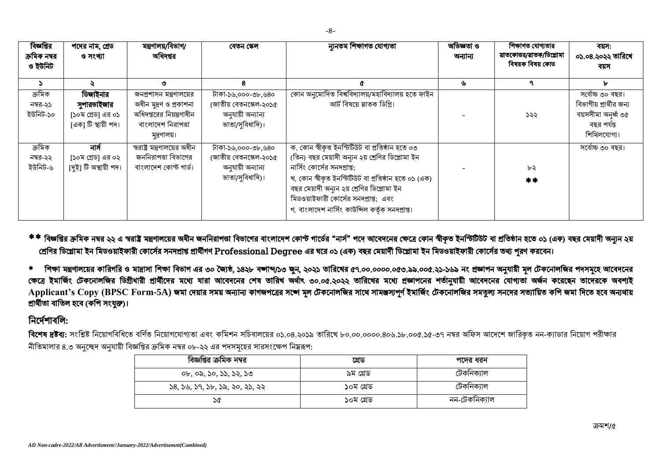| বিজ্ঞপ্তির              | পদের নাম, গ্রেড       | মন্ত্ৰণালয়/বিভাগ/            | বেতন স্কেল             | ন্যনতম শিক্ষাগত যোগ্যতা                             | অভিজ্ঞতা ও | শিক্ষাগত যোগ্যতার                               | বয়স:                   |
|-------------------------|-----------------------|-------------------------------|------------------------|-----------------------------------------------------|------------|-------------------------------------------------|-------------------------|
| ক্রমিক নম্বর<br>ও ইউনিট | ও সংখ্যা              | অধিদপ্তর                      |                        |                                                     | অন্যান্য   | স্নাতকোত্তর/স্নাতক/ডিপ্লোমা<br>বিষয়ক বিষয় কোড | ০১.০৪.২০২২ তারিখে       |
|                         |                       |                               |                        |                                                     |            |                                                 | বয়স                    |
| $\mathbf{z}$            |                       | ৩                             | 8                      |                                                     | ৬          |                                                 | ь                       |
| ক্ৰমিক                  | ডিজাইনার              | জনপ্রশাসন মন্ত্রণালয়ের       | টাকা-১৬,০০০-৩৮,৬৪০     | কোন অনুমোদিত বিশ্ববিদ্যালয়/মহাবিদ্যালয় হতে ফাইন   |            |                                                 | সৰ্বোচ্চ ৩০ বছর।        |
| নম্বর-২১                | সুপারভাইজার           | অধীন মূদ্রণ ও প্রকাশনা        | (জাতীয় বেতনস্কেল-২০১৫ | আর্ট বিষয়ে স্নাতক ডিগ্রি।                          |            |                                                 | বিভাগীয় প্রার্থীর জন্য |
| ইউনিট-১০                | [১০ম গ্রেড] এর ০১     | অধিদপ্তরের নিয়ন্ত্রণাধীন     | অনুযায়ী অন্যান্য      |                                                     |            | ১২২                                             | বয়সসীমা অনৰ্ধ্ব ৩৫     |
|                         | [এক] টি স্থায়ী পদ।   | বাংলাদেশ নিরাপত্তা            | ভাতা/সুবিধাদি)।        |                                                     |            |                                                 | বছর পর্যন্ত             |
|                         |                       | মুদ্রণালয়।                   |                        |                                                     |            |                                                 | শিথিলযোগ্য।             |
| ক্ৰমিক                  | নাৰ্স                 | স্বরাষ্ট্র মন্ত্রণালয়ের অধীন | টাকা-১৬,০০০-৩৮,৬৪০     | ক. কোন স্বীকৃত ইনস্টিটিউট বা প্ৰতিষ্ঠান হতে ০৩      |            |                                                 | সৰ্বোচ্চ ৩০ বছর।        |
| নম্বর-২২                | [১০ম গ্রেড] এর ০২     | জননিরাপত্তা বিভাগের           | (জাতীয় বেতনস্কেল-২০১৫ | (তিন) বছর মেয়াদী অন্যন ২য় শ্রেণির ডিপ্লোমা ইন     |            |                                                 |                         |
| ইউনিট-৬                 | [দুই] টি অস্থায়ী পদ। | বাংলাদেশ কোস্ট গার্ড।         | অনুযায়ী অন্যান্য      | নার্সিং কোর্সের সনদপ্রাপ্ত;                         |            | ৮২                                              |                         |
|                         |                       |                               | ভাতা/সুবিধাদি)।        | খ. কোন স্বীকৃত ইনস্টিটিউট বা প্ৰতিষ্ঠান হতে ০১ (এক) |            | $**$                                            |                         |
|                         |                       |                               |                        | বছর মেয়াদী অন্যন ২য় শ্রেণির ডিপ্লোমা ইন           |            |                                                 |                         |
|                         |                       |                               |                        | মিডওয়াইফারী কোর্সের সনদপ্রাপ্ত; এবং                |            |                                                 |                         |
|                         |                       |                               |                        | গ. বাংলাদেশ নার্সিং কাউন্সিল কর্তৃক সনদপ্রাপ্ত।     |            |                                                 |                         |

\*\* বিজ্ঞপ্তির ক্রমিক নম্বর ২২ এ স্বরাষ্ট মন্ত্রণালয়ের জননিরাপতা বিভাগের বাংলাদেশ কোর্স পদে আবেদনের ক্ষেত্রে কোন স্বীকৃত ইনস্টিটিট বা প্রতিষ্ঠান হতে ০১ (এক) বছর মেয়াদী অন্যূন ২য় শ্রেণির ডিপ্লোমা ইন মিডওয়াইফারী কোর্সের সনদপ্রাপ্ত প্রার্থীগণ Professional Degree এর ঘরে ০১ (এক) বছর মেয়ার্দী ডিপ্লোমা ইন মিডওয়াইফারী কোর্সের তথ্য পুরণ করবেন।

\* শিক্ষা মন্ত্রণালয়ের কারিগরি ও মাদ্রাসা শিক্ষা বিভাগ এর ৩০ জ্যৈষ্ঠ ১৪২৮ বজাব্দুস, ২০২১ তারিখের ৫৭.০০.০০০০.০৫৩.৯৯.০০৫.২১-১৬৯ নং প্রজ্ঞাপন অনুযায়ী মূল টেকনোলজির পদসমূহে আবেদনের ক্ষেত্রে ইমার্জিং টেকনোলজির ডিগ্রীধারী প্রার্থীদের মধ্যে যারা আবেদনের পর্বাৎ ৩০.০৫.২০২২ তারিখের মধ্যে প্রজাপনের শর্তানুযায়ী আবেদনের যোগ্যতা অর্জন করেছেন তাদেরকে অবশ্যই **Applicant's Copy (BPSC Form-5A)** প্রার্থীতা বাতিল হবে (কপি সংযুক্ত)।

#### নিৰ্দেশাবলি:

**বিশেষ দ্রষ্টব্য:** সংশ্লিষ্ট নিয়োগবিধিতে বর্ণিত নিয়োগবোগ্যতা এবং কমিশন সচিবালয়ের ০১.০৪.২০১.০০০.০০০০.৪০৬.১৮.০০৫.১৫-৩৭ নম্বর অফিস আদেশে জারিকত নন-ক্যাডার নিয়োগ পরীক্ষার নীতিমালার ৪.৩ অনুচ্ছেদ অনুযায়ী বিজ্ঞপ্তির ক্রমিক নম্বর ০৮-২২ এর পদসমহের সারসংক্ষেপ নিয়রূপ:

| বিজ্ঞপ্তির ক্রমিক নম্বর        | গ্ৰেড     | পদের ধরন      |
|--------------------------------|-----------|---------------|
| ০৮, ০৯, ১০, ১১, ১২, ১৩         | ৯ম গ্ৰেড  | ঢেকানক্যাল    |
| ১৪, ১৬, ১৭, ১৮, ১৯, ২০, ২১, ২২ | ১০ম গ্ৰেড | টেকনিক্যাল    |
| ১৫                             | ১০ম গ্ৰেড | নন-টেকনিক্যাল |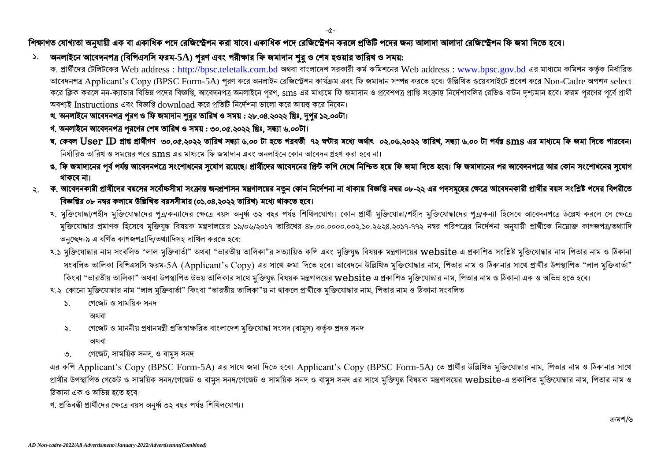-৫-

#### শিক্ষাগত যোগ্যতা অনুযায়ী এক বা একাধিক পদে রেজিস্ট্রেশন করা যাবে। একাধিক পদে রেজিস্ট্রেশন করলে প্রতিটি পদের জন্য আলাদা আলাদা রেজিস্ট্রেশন ফি জমা দিতে হবে।

১. অনলাইনে আবেদনপত্র (বিপিএসসি ফরম-5A) পুরণ এবং পরীক্ষার ফি জমাদান শুরু ও শেষ হওয়ার তারিখ ও সময়:

ক. প্রার্থীদের টেলিটকের Web address : [http://bpsc.teletalk.com.bd](http://bpsc.teletalk.com.bd/) অথবা বাংলাদেশ সরকারী কর্ম কমিশনের Web address : [www.bpsc.gov.bd](http://www.bpsc.gov.bd/) এর মাধ্যমে কমিশন কর্তৃক নির্ধারিত আবেদনপত্র Applicant's Copy (BPSC Form-5A) পরণ করে অনলাইন রেজিস্ট্রেশন কার্যক্রম এবং ফি জমাদান সম্পন্ন করতে হবে। উল্লিখিত ওয়েবসাইটে প্রবেশ করে Non-Cadre অপশন select করে ক্লিক করলে নন-ক্যাডার বিভিন্ন পদের বিজ্ঞপ্তি, আবেদনপত্র অনলাইনে পরণ, sms এর মাধ্যমে ফি জমাদান ও প্রবেশপত্র প্রদি পরি জনি দুর্জ বাটন দুশ্যমান হবে। ফরম পরণের পর্বে প্রার্থী অবশ্যই Instructions এবং বিজ্ঞপ্তি download করে প্রতিটি নির্দেশনা ভালো করে আয়ত্ত করে নিবেন।

- খ. অনলাইনে আবেদনপত্র পূরণ ও ফি জমাদান শুরুর তারিখ ও সময় : ২৮.০৪.২০২২ খ্রিঃ, দুপুর ১২.০০টা।
- গ. অনলাইনে আবেদনপত্র পুরণের শেষ তারিখ ও সময় : ৩০.০৫.২০২২ খ্রিঃ, সন্ধ্যা ৬.০০টা।
- ঘ. কেবল User ID প্ৰাপ্ত প্ৰাৰ্থীগণ ৩০.০৫.২০২২ তারিখ সন্ধ্যা ৬.০০ টা হতে পরবর্তী ৭২ ঘণ্টার মধ্যে ২০২.০৬.২০২২ তারিখ, সন্ধ্যা ৬.০০ টা পর্যন্ত sms এর মাধ্যমে ফি জমা দিতে পারবেন। ।<br>নির্ধারিত তারিখ ও সময়ের পরে sms এর মাধামে ফি জমাদান এবং অনলাইনে কোন আবেদন গ্রহণ করা হবে না।
- ঙ. ফি জমাদানের পূর্ব পর্যন্ত আবেদনপত্রে সংশোধনের সুযোগ রয়েছে। প্রার্থীদের আবেদনের প্রিসিং কাপি দেখে নিশ্চিত হয়ে ফি জমা দিতে হবে। ফি জমাদানের পর আবেদনপত্রে আর কোন সংশোধনের সুযোগ থাকবে না।
- ২<sub>.</sub> ক. আবেদনকারী প্রার্থীদের বয়সের সর্বোচ্চসীমা সংক্রান্ত জনপ্রশাসন মন্ত্রণালয়ের নতুন কোন নির্দেশনা না থাকায় বিজ্ঞপ্তি নম্বর ০৮-২২ বিজ্ঞপ্তির ০৮ নম্বর কলামে উল্লিখিত বয়সসীমার (০১.০৪.২০২২ তারিখ) মধ্যে থাকতে হবে।
	- খ. মক্তিযোদ্ধা/শহীদ মুক্তিযোদ্ধাদের পূত্র/কন্যাদের ক্ষেত্রে বয়স অনর্ধ ৩২ বছর পর্যন্তাগা। কোন প্রাণী মুক্তিযোদ্ধাদের পূত্র/কন্যা হিসেবে আবেদনপত্রে উল্লেখ করলে সে ক্ষেত্রে মুক্তিযোদ্ধার প্রমাণক হিসেবে মুক্তিযুদ্ধ বিষয়ক মন্ত্রণালয়ের ১৯/০৬/২০১৭ চারিখের ৪৮.০০.০০০.০০২.১০.২৬২৪.২০১৭-৭৭২ নম্বর পরিপত্রের নির্দেশনা অনুযায়ী প্রার্থীকে নিয়োক্ত কাগজপত্র/তথ্যাদি অনচ্ছেদ-৯ এ বৰ্ণিত কাগজপত্ৰাদি/তথ্যাদিসহ দাখিল করতে হবে:
	- খ.১ মুক্তিযোদ্ধার নাম সংবলিত "লাল মুক্তিবার্তা" অথবা "ভারতীয় তালিকা"র সত্যায়িত কপি এবং মুক্তিয়ক মন্ত্রালয়ের website এ প্রকাশিত সংশ্লিষ্ট মুক্তিযোদ্ধার নাম পিতার নাম ও ঠিকানা সংবলিত তালিকা বিপিএসসি ফরম-5A (Applicant's Copy) এর সাথে জমা দিতে হবে। আবেদনে উল্লিখিত মক্তিযোদ্ধার নাম, পিতার নাম ও ঠিকানার সাথে প্রার্থীর উপস্থাপিত "লাল মক্তিবার্তা" কিংবা "ভারতীয় তালিকা" অথবা উপস্থাপিত উভয় তালিকার সাথে মুক্তিযুদ্ধ বিষয়ক মন্ত্রণালয়ের website এ প্রকাশিত মুক্তিযোদ্ধার নাম, পিতার নাম ও ঠিকানা এক ও অভিন্ন হতে হবে।
	- খ.২ কোনো মক্তিযোদ্ধার নাম "লাল মক্তিবার্তা" কিংবা "ভারতীয় তালিকা"য় না থাকলে প্রার্থীকে মক্তিযোদ্ধার নাম. পিতার নাম ও ঠিকানা সংবলিত
		- ১. গেজেট ও সাময়িক সনদ
			- অথবা
		- ২. গেজেট ও মাননীয় প্রধানমন্ত্রী প্রতিস্বাক্ষরিত বাংলাদেশ মুক্তিযোদ্ধা সংসদ (বামুস) কর্তৃক প্রদত্ত সনদ
			- অথবা
		- ৩. গেজেট, সাময়িক সনদ, ও বামুস সনদ

এর কপি Applicant's Copy (BPSC Form-5A) এর সাথে জমা দিতে হবে। Applicant's Copy (BPSC Form-5A) তে প্রার্থীর উল্লিখিত মুক্তিযোদ্ধার নাম, পিতার নাম ও ঠিকানার সাথে প্রার্থীর উপস্থাপিত গেজেট ও সাময়িক সনদ/গেজেট ও বামুস সেনে ও সাময়িক সনদ সমর সাথে মুক্তিযুদ্ধ বিষয়ক মন্ত্রণালয়ের website-এ প্রকাশিত মুক্তিযোদ্ধার নাম, পিতার নাম ও ঠিকানা এক ও অভিন্ন হতে হবে।

গ. প্রতিবন্ধী প্রার্থীদের ক্ষেত্রে বয়স অনর্ধ্ব ৩২ বছর পর্যন্ত শিথিলযোগ্য।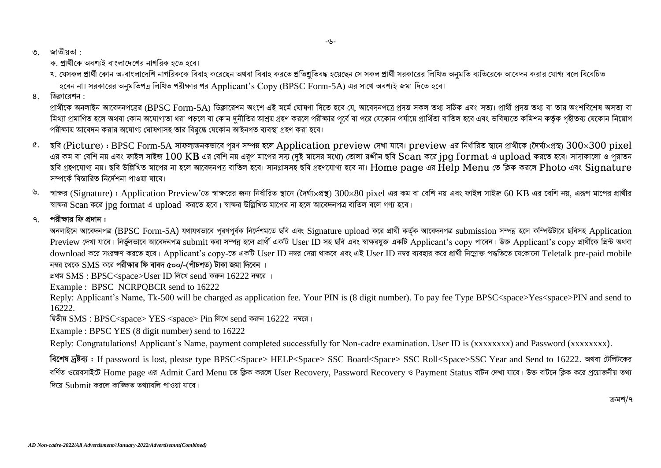- *3.* :
	- ক, প্রার্থীকে অবশ্যই বাংলাদেশের নাগরিক হতে হবে।
	- খ. যেসকল প্রার্থী কোন অ-বাংলাদেশি নাগরিককে বিবাহ করেছেন অথবা বিবাহ করতে প্রতিশ্রতিবদ্ধ হয়েছেন সে সকল প্রার্থী সরকারের লিখিত অনমতি ব্যতিরেকে আবেদন করার যোগ্য বলে বিবেচিত হবেন না। সরকারের অনমতিপত্র লিখিত পরীক্ষার পর  $\Lambda$ pplicant's  $\rm{Conv}$  (BPSC  $\rm{Form}\text{-}5A$ ) এর সাথে অবশ্যই জমা দিতে হবে।
- 8. ডিক্লারেশন :

প্রার্থীকে অনলাইন আবেদনপত্রের (BPSC Form-5A) ডিক্লারেশন অংশে এই মর্মে ঘোষণা দিতে হবে যে, আবেদনপত্রে প্রদত্ত অগ সঠিক এবং সত্য। প্রার্থী প্রদত্ত তথ্য বা তার অংশবিশেষ অসত্য বা মিথ্যা প্রমাণিত হলে অথবা কোন অযোগ্যতা ধরা পড়লে বা কোন দুর্নীতির আশ্রয় গ্রহল পরীক্ষার পূর্বে সেকোন পর্যায়ে প্রার্থিতা বাতিল হবে এবং ভবিষ্যতে কমিশন কর্তৃক গৃহীতব্য যেকোন নিয়োগ পরীক্ষায় আবেদন করার অযোগ্য ঘোষণাসহ তার বিরদ্ধে যেকোন আইনগত ব্যবস্থা গ্রহণ করা হবে।

- ৫. ছবি (Picture) : BPSC Form-5A সাফল্যজনকভাবে পরণ সম্পন্ন হলে Application preview দেখা যাবে। preview এর নির্ধারিত স্থানে প্রার্থীকে (দৈর্ঘ্য×প্রস্থ)  $300\times300$  pixel এর কম বা বেশি নয় এবং ফাইল সাইজ  $100~\mathrm{KB}$  এর বেশি নয় এরূপ মাপের সদ্য (দুই মাসের মধ্যে) তোলা রঙ্গীন ছবি  $\mathrm{Scan}$  করে jpg  $\mathrm{format}$  এ  $\mathrm{update}$  করতে হবে। সাদাকালো ও পুরাতন ছবি গ্ৰহণযোগ্য নয়। ছবি উল্লিখিত মাপের না হলে আবেদনপত্র বাতিল হবে। সানগ্লাসসহ ছবি গ্ৰহণযোগ্য হবে না।  ${\rm Home}$  page এর ${\rm He}$ lp  ${\rm Men}$ u তে ক্লিক করলে  ${\rm Photo}$  এবং  ${\rm Signature}$ সম্পৰ্কে বিস্তাবিত নিৰ্দেশনা পাওয়া যাবে
- ৬. সাক্ষর (Signature) : Application Preview'তে স্বাক্ষরের জন্য নির্ধারিত স্থানে (দৈর্ঘ্য×প্রস্থ)  $300 \times 80$  pixel এর কম বা বেশি নয় এবং ফাইল সাইজ 60 KB এর বেশি নয়, এরূপ মাপের প্রার্থীর *¯^v¶i* Scan *K‡i* jpg format *G* upload *Ki‡Z n‡e| ¯^v¶i DwjøwLZ gv‡ci bv n‡j Av‡e`bcÎ evwZj e‡j MY¨ n‡e|*

#### *7. cix¶vi wd cÖ`vb :*

্অনলাইনে আবেদনপত্ৰ (BPSC Form-5A) যথাযথভাবে পুরণপূর্বক নির্দেশমতে ছবি এবং Signature upload করে প্রার্থী কর্তৃক আবেদনপত্র submission সম্পন্ন হলে কম্পিউটারে ছবিসহ Application Preview দেখা যাবে। নিৰ্ভুলভাবে আবেদনপত্ৰ submit করা সম্পন্ন হলে প্রার্থী একটি Lser ID সহ ছবি এবং স্বাক্ষরযুক্ত একটি Applicant's copy পাবেন। উক্ত Applicant's copy প্রার্থীকে প্রিন্ট অথবা download করে সংরক্ষণ করতে হবে। Applicant's copy-তে একটি User ID নম্বর দেয়া থাকবে এবং এই User ID নম্বর ব্যবহার করে প্রার্থী নিম্লোক্ত পদ্ধতিতে যেকোনো Teletalk pre-paid mobile  $\overline{h}$  <sub>নম্বর থেকে SMS করে পরীক্ষার ফি বাবদ ৫০০/-(পাঁচশত) টাকা জমা দিবেন ।</sub>

<u>প্ৰথম SMS: BPSC<space>User ID লিখে send করুন 16222 নম্বরে ।</u>

Example : BPSC NCRPQBCR send to 16222

Reply: Applicant's Name, Tk-500 will be charged as application fee. Your PIN is (8 digit number). To pay fee Type BPSC<space>Yes<space>PIN and send to 16222.

*k* $\overline{R}$ র্ষীয় SMS : BPSC<space> YES <space> Pin লিখে send করুন 16222 *নম্ব*র।

Example : BPSC YES (8 digit number) send to 16222

Reply: Congratulations! Applicant's Name, payment completed successfully for Non-cadre examination. User ID is (xxxxxxxxx) and Password (xxxxxxxx).

*वि*टलेश मुष्ठैवा: If password is lost, please type BPSC<Space> HELP<Space> SSC Board<Space> SSC Roll<Space>SSC Year and Send to 16222. अथवा *উ*लिটকের *ৰ*ৰ্ণিত ওয়েবসাইটে Home page এর Admit Card Menu তে ক্লিক করলে User Recovery, Password Recovery ও Payment Status বাটন দেখা যাবে। উক্ত বাটনে ক্লিক করে প্রয়োজনীয় তথ্য *দি*য়ে Submit কবলে কাজিফত তথ্যাবলি পাওয়া যাবে।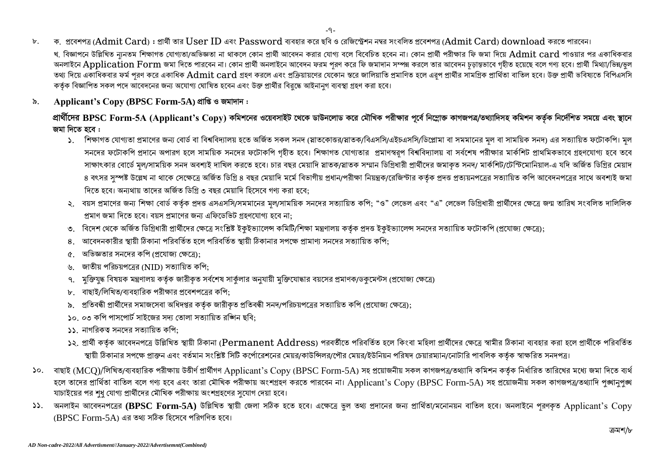- ক, প্ৰবেশপত্ৰ (Admit Card) : প্ৰাৰ্থী তাৰ User ID এবং Password ব্যবহাৰ কৰে ছবি ও ৱেজিস্ট্ৰেশন নম্বৰ সংবলিত প্ৰবেশপত্ৰ (Admit Card) download কৰতে পাৰবেন।  $\mathbf{b}$ . খ, বিজ্ঞাপনে উল্লিখিত নানতম শিক্ষাগত যোগ্যতা/অভিজ্ঞতা না থাকলে কোন প্ৰাৰ্থী আবেদন করার যোগ বলে বিবেচিত হবেন না। কোন প্ৰাৰী পরীক্ষার ফি জমা দিয়ে Admit card পাওয়ার পর একাধিকবার 'অনলাইনে Application Form জমা দিতে পারবেন না। কোন প্রার্থী অনলাইনে আবেদন ফরম পরণ করে ফি জমাদান সম্পন্ন করলে তার আবেদন চড়ান্তভাবে গহীত হয়েছে বলে গণ্য হবে। প্রার্থী মিথ্যা/ভিন্ন/ভল ্তথ্য দিয়ে একাধিকবার ফর্ম পরণ করে একাধিক Admit card গ্রহণ করলে এবং প্রক্রিয়ালের যেকোন স্তরে জালিয়াতি প্রমাণিত হলে এরপ প্রার্থীর সামগ্রিক প্রার্থিতা বাতিল হবে। উক্ত প্রার্থী ভবিষ্যতে বিপিএসসি কর্তৃক বিজ্ঞাপিত সকল পদে আবেদনের জন্য অযোগ্য ঘোষিত হবেন এবং উক্ত প্রার্থীর বিরুদ্ধে আইনানুগ ব্যবস্থা গ্রহণ করা হবে।
- Applicant's Copy (BPSC Form-5A) প্ৰাপ্তি ও জমাদান: ৯

প্রার্থীদের BPSC Form-5A (Applicant's Copv) কমিশনের ওয়েবসাইট থেকে ডাউনলোড করে মৌখিক পরীক্ষার পূর্বে নিম্লোক্ত কাগজপত্র/তথ্যাদিসহ কমিশন কর্তৃক নির্দেশিত সময়ে এবং স্থানে জমা দিতে হবে :

- ১. শিক্ষাগত যোগ্যতা প্ৰমাণের জন্য বোর্ড বা বিশ্ববিদ্যালয় হতে অর্জিত সকল সনদ (স্লাতকোত্তর/স্লাতক/বিএসসি/এইচএসসি/ডিপ্লোমা বা সমমানের মল বা সাময়িক সনদ) এর সত্যায়িত ফটোকপি। মল সনদের ফটোকপি প্রদানে অপারগ হলে সাময়িক সনদের ফটোকপি গৃহীত হবে। শিক্ষাগত যোগ্যতার প্রমাণস্বরপ বিশ্ববিদ্যালয় বা সর্বশেষ পরীক্ষার মার্কশিট প্রাথমিকভাবে গ্রহণযোগ্য হবে তবে সাক্ষাৎকার বোর্ডে মল/সাময়িক সনদ অবশ্যই দাখিল করতে হবে। চার বছর মেয়াদি স্নাতক/স্নাতক সম্মার গ্রার্থীদের জমাকৃত সনদ/ মার্কশিট/টেস্টিমোনিয়াল-এ যদি অর্জিত ডিগ্রির মেয়াদ ৪ বৎসর সম্পষ্ট উল্লেখ না থাকে সেক্ষেত্রে অর্জিত ডিগ্রি ৪ বছর মেয়াদি মর্মে বিখান/পরীক্ষা নিয়ন্ত্রক/রেজিন্টার কর্তৃক প্রদত্ত প্রত্যয়নপত্রের সত্যায়িত কপি আবেদনপত্রের সাথে অবশ্যই জমা দিতে হবে। অন্যথায় তাদের অর্জিত ডিগ্রি ৩ বছর মেয়াদি হিসেবে গণ্য করা হবে:
- ২. বয়স প্রমাণের জন্য শিক্ষা বোর্ড কর্তক প্রদত্ত এসএসসি/সমমানের মল/সাময়িক সনদের সত্যায়িত কপি: "ও" লেভেল এবং "এ" লেভেল ডিগ্রিধারী প্রার্থীদের ক্ষেত্রে জন্ম তারিখ সংবলিত দালিলিক প্রমাণ জমা দিতে হবে। বয়স প্রমাণের জন্য এফিডেভিট গ্রহণযোগ্য হবে না:
- ৩. বিদেশ থেকে অর্জিত ডিগ্রিধারী প্রার্থীদের ক্ষেত্রে সংশ্লিষ্ট ইকুইভ্যালেন্স কম্যালয় কর্তুক প্রদত্ত ইকুইভ্যালেন্স সনদের সত্যায়িত ফটোকপি (প্রযোজ্য ক্ষেত্রে);
- অাবেদনকারীর স্থায়ী ঠিকানা পরিবর্তিত হলে পরিবর্তিত স্থায়ী ঠিকানার সপক্ষে প্রামাণ্য সনদের সত্যায়িত কপি: 8
- অভিজ্ঞতার সনদের কপি (প্রযোজ্য ক্ষেত্রে):  $\alpha$ .
- জাতীয় পরিচয়পত্রের (NID) সত্যায়িত কপি:  $\mathcal{V}$
- মুক্তিযুদ্ধ বিষয়ক মন্ত্রণালয় কর্তৃক জারীকৃত সর্বশেষ সার্কুলার অনুযায়ী মুক্তিযোদ্ধার বয়সের প্রমাণক/ডকুমেন্টস (প্রযোজ্য ক্ষেত্রে)  $9<sub>1</sub>$
- বাছাই/লিখিত/ব্যবহারিক পরীক্ষার প্রবেশপত্রের কপি:
- ৯. প্রতিবন্ধী প্রার্থীদের সমাজসেবা অধিদপ্তর কর্তৃক জারীকৃত প্রতিবন্ধী সনদ/পরিচয়পত্রের সত্যায়িত কপি (প্রযোজ্য ক্ষেত্রে);
- ১০. ০৩ কপি পাসপোর্ট সাইজের সদ্য তোলা সত্যায়িত রজ্ঞিন ছবি:
- ১১. নাগরিকত্ব সনদের সত্যায়িত কপি:
- ১২. প্রার্থী কর্তক আবেদনপত্রে উল্লিখিত স্থায়ী ঠিকানা (Permanent Address) পরবর্তীতে পরিবর্তিত হলে কিংবা মহিলা প্রার্থীদের ক্ষেত্রে স্বামীর ঠিকানা ব্যবহার করা হলে প্রার্থীকে পরিবর্তিত স্থায়ী ঠিকানার সপক্ষে প্রাক্তন এবং বর্তমান সংশ্লিষ্ট সিটি কর্পোরেশনের মেয়র/কটিলর/পৌর মেয়র/ইউনিয়ন পরিষদ চেয়ারম্যান/নোটারি পাবলিক কর্তৃক স্বাক্ষরিত সনদপত্র।
- ১০. বাছাই (MCO)/লিখিত/ব্যবহারিক পরীক্ষায় উত্তীর্ণ প্রার্থীগণ Applicant's Copy (BPSC Form-5A) সহ প্রয়োজনীয় সকল কাগজপত্র/তথ্যাদি কমিশন কর্তৃক নির্ধারিত তারিখের মধ্যে জমা দিতে ব্যর্থ হলে তাদের প্রার্থিতা বাতিল বলে গণ্য হবে এবং তারা মৌখিক পরীক্ষায় অংশগ্রহণ করতে পারবেন না। Applicant's Copy (BPSC Form-5A) সহ প্রয়োজনীয় সকল কাগজপত্র/তথ্যাদি পূঙ্খানুপূঙ্খ যাচাইয়ের পর শুধু যোগ্য প্রার্থীদের মৌখিক পরীক্ষায় অংশগ্রহণের সুযোগ দেয়া হবে।
- ১১. অনলাইন আবেদনপত্রের (BPSC Form-5A) উল্লিখিত স্থায়ী জেলা সঠিক হতে হবে। এক্ষেত্রে ভূল তথ্য প্রদানের জন্য প্রার্থিতা/মনোনয়ন বাতিল হবে। অনলাইনে পরণকৃত Applicant's Copy  $(BPSC \; Form$ -5A) এর তথ্য সঠিক হিসেবে পরিগণিত হবে।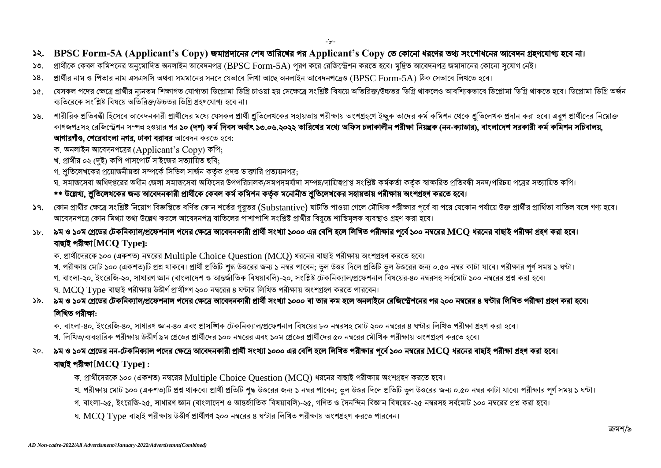- ১২. BPSC Form-5A (Applicant's Copy) জমাপ্রদানের শেষ তারিখের পর Applicant's Copy তে কোনো ধরণের তথ্য সংশোধনের আবেদন গ্রহণযোগ্য হবে না।
- ১৩. প্রার্থীকে কেবল কমিশনের অনুমোদিত অনলাইন আবেদনপত্র (BPSC Form-5A) পূরণ করে রেজিস্ট্রেশন করতে হবে। মুদ্রিত আবেদনপত্র জমাদানের কোনো সুযোগ নেই।
- $\blacktriangleright$ 8. প্রার্থীর নাম ও পিতার নাম এসএসসি অথবা সমমানের সনলে যেভাবে লিখা আছে অনলাইন আবেদনপত্রেও (BPSC Form-5A) ঠিক সেভাবে লিখতে হবে।
- ১৫. যেসকল পদের ক্ষেত্রে প্রার্থীর ন্যনতম শিক্ষাগত যোগ্যতা ডিপ্লোমা ডিগ্রি চাওয়া হয় সেক্ষেত্রে ডবিরজ/উচ্চতর ডিগ্রি থাকলেও আবশ্যিকভাবে ডিপ্লোমা ডিগ্রি থাকতে হবে। ডিপ্লোমা ডিগ্রি অর্জন ব্যতিরেকে সংশ্লিষ্ট বিষয়ে অতিরিক্ত/উচ্চতর ডিগ্রি গ্রহণযোগ্য হবে না।
- ১৬. শারীরিক প্রতিবন্ধী হিসেবে আবেদনকারী প্রার্থীদের মধ্যে যেসকল প্রার্থী শ্রতিলেখক সহীক্ষায় অংশগ্রহণে ইচ্ছক তাদের কর্ম কমিশন থেকে শ্রতিলেখক প্রদান করা হবে। এরূপ প্রার্থীদের নিম্নোক্ত কাগজপত্ৰসহ রেজিস্ট্রেশন সম্পন্ন হওয়ার পর ১০ (দশ) কর্ম দিবস অর্থাৎ ১৩.০৬.২০২২ তারিখের মধ্যে অফিস চলাকালীন পরীক্ষা নিয়ন্ত্রক (নন-ক্যাডার), বাংলাদেশ সরকারী কর্ম কমিশন সচিবালয়, আগারগীও, শেরেবাংলা নগর, ঢাকা বরাবর আবেদন করতে হবে:
	- ক. অনলাইন আবেদনপত্ৰের (Applicant's  $Copy$ ) কপি;
	- খ. প্রার্থীর ০২ (দুই) কপি পাসপোঁট সাইজের সত্যায়িত ছবি;
	- গ. শ্রতিলেখকের প্রয়োজনীয়তা সম্পর্কে সিভিল সার্জন কর্তৃক প্রদত্ত ডাক্তারি প্রত্যয়নপত্র:
	- .ঘ সমাজসেবা অধিদপ্তরের অধীন জেলা সমাজসেবা অফিসের উপপরিচালক/সমপদমর্যাদা সম্পন্ন/দায়িত্বপ্রাপ্ত কর্মকর্তা কর্তক স্বাক্ষরিত প্রতিবন্ধী সনদ/পরিচয় পত্রের সত্যায়িত কপি।

#### \*\* উল্লেখ্য, শ্রুতিলেখকের জন্য আবেদনকারী প্রার্থীকে কেবল কর্ম কমিশন কর্তৃক মনোনীত শ্রুতিলেখকের সহায়তায় পরীক্ষায় অংশগ্রহণ করতে হবে।

- $\mathsf{S}$ ৭. কোন প্রার্থীর ক্ষেত্রে সংশ্লিষ্ট নিয়োগ বিজ্ঞপ্তিত বর্ণিত কোন শতর্র গুরা $\mathsf{S}$  (Substantive) ঘাটতি পাওয়া গেলে মৌখিক পরীক্ষার পর্বে বা পরে যেকোন পর্যায়ে উক্ত প্রার্থীর প্রার্থিতা বাতিল বলে গণ্য হবে। আবেদনপত্রে কোন মিথ্যা তথ্য উল্লেখ করলে আবেদনপত্র বাতিলের পাশাপাশি সংশ্লিষ্ট প্রার্থীর বিরক্কে শাস্তিমলক ব্যবস্থাও গ্রহণ করা হবে।
- ১৮. ৯ম ও ১০ম গ্রেডের টেকনিক্যাল/প্রফেশনাল পদের ক্ষেত্রে আবেদনকারী প্রার্থী ১০০০ এর বেশি হলে লিখিত পরীক্ষার পূর্বে ১০০ নম্বরের MCQ ধরনের বাছাই পরীক্ষা গ্রহণ করা হবে। *[***MCQ Type**]: 
	- ক. প্রার্থীদেরকে ১০০ (একশত) নম্বরের Multiple Choice Question (MCQ) ধরনের বাছাই পরীক্ষায় অংশগ্রহণ করতে হবে।
	- খ. পরীক্ষায় মোট ১০০ (একশত)টি প্রশ্ন থাকবে। প্রার্থী প্রতিটি শুদ্ধ উত্তরের ডিটি এল উত্তরে জন্য ০.৫০ নম্বর কাটা যাবে। পরীক্ষার পূর্ণ সময় ১ ঘণ্টা। গ, বাংলা-২০, ইংরেজি-২০, সাধারণ জ্ঞান (বাংলাদেশ ও আন্তর্জাতিক বিষয়াবলি)-২০, সংশ্লিষ্ট টেকনিক্যাল/প্রফেশনাল বিষয়ের-৪০ নম্বরসহ সর্বমোট ১০০ নম্বরের প্রশ্ন করা হবে।
	- ঘ.  $\rm{MCO}$   $\rm{Type}$  বাছাই পরীক্ষায় উত্তীর্ণ প্রার্থীগণ ২০০ নম্বরের ৪ ঘণ্টার লিখিত পরীক্ষায় অংশগ্রহণ করতে পারবেন।
- ১৯. ৯ম ও ১০ম গ্রেডের টেকনিক্যাল/প্রফেশনাল পদের ক্ষেত্রে আবেদনকারী প্রার্থী সংখ্যা ১০০০ বা তার কম হলে অনলাইনে রেজিস্ট্রেশনের পর ২০০ নম্বরের ৪ ঘণ্টার লিখিত পরীক্ষা গ্রহণ করা হবে। লিখিত পরীক্ষা:
	- ক, বাংলা-৪০, ইংরেজি-৪০, সাধারণ জ্ঞান-৪০ এবং প্রাসজ্ঞিক টেকনিক্যাল/প্রফেশনাল বিষয়ের ৮০ নম্বরসহ মোট ২০০ নম্বরের ৪ ঘণ্টার লিখিত পরীক্ষা গ্রহণ করা হবে। খ লিখিত/ব্যবহারিক পরীক্ষায় উত্তীর্ণ ৯ম গেডের পার্থীদের ১০০ নম্বরের এবং ১০ম গেডের পার্থীদের ৫০ নম্বরের মৌখিক পরীক্ষায় অংশগহণ করতে হবে।
- ২০. ৯ম ও ১০ম গ্রেডের নন-টেকনিক্যাল পদের ক্ষেত্রে আবেদনকারী প্রার্খী সংখ্যা ১০০০ এর বেশি হলে লিখিত পরীক্ষার পূর্বে ১০০ নম্বরের MCO ধরনের বাছাই পরীক্ষা গ্রহণ করা হবে। *[***MCQ Type**] :
	- ক. প্রার্থীদেরকে ১০০ (একশত) নম্বরের Multiple Choice Ouestion (MCO) ধরনের বাছাই পরীক্ষায় অংশগ্রহণ করতে হবে।
	- খ. পরীক্ষায় মোট ১০০ (একশত)টি প্রশ্ন থাকবে। প্রার্থী প্রতিটি শৃদ্ধ উত্তরের উত্তর দিলে পতিটি ভুল উত্তরের জন্য ০.৫০ নম্বর কাটা যাবে। পরীক্ষার পূর্ণ সময় ১ ঘণ্টা।
	- গ. বাংলা-২৫, ইংরেজি-২৫, সাধারণ জ্ঞান (বাংলাদেশ ও আন্তর্জাতিক বিষয়াবলি)-২৫, গণিত ও দৈনন্দিন বিজ্ঞান বিষয়ের-২৫ নম্বরসহ সর্বমোট ১০০ নম্বরের প্রশ্ন করা হবে।
	- ঘ.  $\rm{MCO}$   $\rm{Type}$  বাছাই পরীক্ষায় উত্তীর্ণ প্রার্থীগণ ২০০ নম্বরের ৪ ঘণ্টার লিখিত পরীক্ষায় অংশগ্রহণ করতে পারবেন।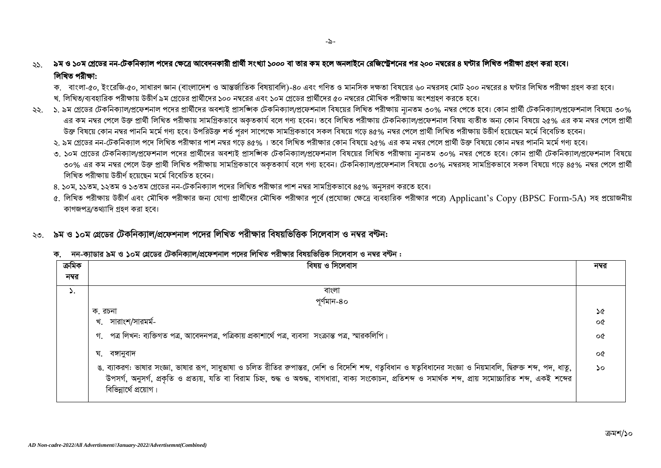#### ৯ম ও ১০ম গ্রেডের নন-টেকনিক্যাল পদের ক্ষেত্রে আবেদনকারী প্রার্থী সংখ্যা ১০০০ বা তার কম হলে অনলাইনে রেজিস্ট্রেশনের পর ২০০ নম্বরের ৪ ঘণ্টার লিখিত পরীক্ষা গ্রহণ করা হবে।  $55 -$ লিখিত পরীক্ষা:

- ক, বাংলা-৫০, ইংরেজি-৫০, সাধারণ জ্ঞান (বাংলাদেশ ও আন্তর্জাতিক বিষয়াবলি)-৪০ এবং গণিত ও মানসিক দক্ষতা বিষয়ের ৬০ নম্বরসহ মোট ২০০ নম্বরের ৪ ঘণ্টার লিখিত পরীক্ষা গ্রহণ করা হবে।
- খ, লিখিত/ব্যবহারিক পরীক্ষায় উত্তীর্ণ ৯ম গ্রেডের প্রার্থীদের ১০০ নম্বরের এবং ১০ম গ্রেডের প্রার্থীদের ৫০ নম্বরের মৌখিক পরীক্ষায় অংশগ্রহণ করতে হবে।
- ২২. ১.৯ম গ্রেডের টেকনিক্যাল/প্রফেশনাল পদের প্রার্থীদের অবশ্যই প্রাসজিক টেকনিক্যাল/প্রফেশনাল বিষয়ের লিখিত পরীক্ষায় ন্যনতম ৩০% নম্বর পেতে হবে। কোন প্রার্থী টেকনিক্যাল/প্রফেশনাল বিষয়ে ৩০% এর কম নম্বর পেলে উক্ত প্রার্থী লিখিত পরীক্ষায় সামগ্রিকভাবে অকৃতকার্য বলে গণ্য হবেন। তবে লিখিত পরীক্ষায় টেকনিক্যাল/প্রফেশনাল বিষয় ব্যতীত অন্য কোন বিষয়ে ২৫% এর কম নম্বর পেলে প্রার্থী উক্ত বিষয়ে কোন নম্বর পাননি মর্মে গণ্য হবে। উপরিউক্ত শর্ত পরণ সাপেক্ষে সামগ্রিকভাবে সকল বিষয়ে গতে ৪৫% নম্বর পেলে প্রার্থী লিখিত পরীক্ষায় উত্তীর্ণ হয়েছেন মর্মে বিবেচিত হবেন।
	- ২. ৯ম গ্রেডের নন-টেকনিক্যাল পদে লিখিত পরীক্ষার পাশ নম্বর গড়ে ৪৫%। তবে লিখিত পরীক্ষার কোন বিষয়ে ২৫% এর কম নম্বর পোলে প্রার্থী উক্ত বিষয়ে কোন নম্বর পাননি মর্মে গণ্য হবে।
	- ৩. ১০ম গ্রেডের টেকনিক্যাল/প্রফেশনাল পদের প্রার্থীদের অবশ্যই প্রাসজিক টেকনিক্যাল/প্রফেশনাল বিষয়ের লিখিত পরীক্ষায় ন্যনতম ৩০% নম্বর পেতে হবে। কোন প্রার্থী টেকনিক্যাল/প্রফেশনাল বিষয়ে ৩০% এর কম নম্বর পেলে উক্ত প্রার্থী লিখিত পরীক্ষায় সামগ্রিকভাবে অকৃতকার্য বলে গণ্য হবেন। টেকনিক্যাল/প্রফেশনাল বিষয়ে ৩০% নম্বরসহ সামগ্রিকভাবে সকল বিষয়ে গড়ে ৪৫% নম্বর পেলে প্রার্থী লিখিত পরীক্ষায় উত্তীর্ণ হয়েছেন মর্মে বিবেচিত হবেন।
	- ৪. ১০ম. ১১তম. ১২তম ও ১৩তম গ্রেডের নন-টেকনিক্যাল পদের লিখিত পরীক্ষার পাশ নম্বর সামগ্রিকভাবে ৪৫% অনসরণ করতে হবে।
	- ৫. লিখিত পরীক্ষায় উত্তীর্ণ এবং মৌখিক পরীক্ষার জন্য যোগ্য প্রার্থীদের মৌখিক পরীক্ষার ব্যর ব্যর বরারিক পরীক্ষার পরে) Applicant's Copy (BPSC Form-5A) সহ প্রয়োজনীয় কাগজপত্র/তথ্যাদি গহণ করা হবে।

#### ২৩ ৯ম ও ১০ম গ্রেডের টেকনিক্যাল/প্রফেশনাল পদের লিখিত পরীক্ষার বিষয়ভিত্তিক সিলেবাস ও নম্বর বন্টন:

#### ক, নন-ক্যাডার ৯ম ও ১০ম গ্রেডের টেকনিক্যাল/প্রফেশনাল পদের লিখিত পরীক্ষার বিষয়ভিত্তিক সিলেবাস ও নম্বর বন্টন:

| ক্ৰমিক | বিষয় ও সিলেবাস                                                                                                                                              | নম্বর         |
|--------|--------------------------------------------------------------------------------------------------------------------------------------------------------------|---------------|
| নম্বর  |                                                                                                                                                              |               |
| ۵.     | বাংলা                                                                                                                                                        |               |
|        | পূর্ণমান-৪০                                                                                                                                                  |               |
|        | ক. রচনা                                                                                                                                                      | ১৫            |
|        | খ. সারাংশ/সারমর্ম-                                                                                                                                           | o¢            |
|        | গ. পত্র লিখন: ব্যক্তিগত পত্র, আবেদনপত্র, পত্রিকায় প্রকাশার্থে পত্র, ব্যবসা সংক্রান্ত পত্র, স্মারকলিপি।                                                      | ০৫            |
|        | ঘ. বঙ্গানুবাদ                                                                                                                                                | ০৫            |
|        | ঙ. ব্যাকরণ: ভাষার সংজ্ঞা, ভাষার রূপ, সাধুভাষা ও চলিত রীতির রুপান্তর, দেশি ও বিদেশি শব্দ, ণতুবিধান ও ষতুবিধানের সংজ্ঞা ও নিয়মাবলি, দ্বিরুক্ত শব্দ, পদ, ধাতু, | $\mathcal{L}$ |
|        | উপসৰ্গ, অনুসৰ্গ, প্ৰকৃতি ও প্ৰত্যয়, যতি বা বিৱাম চিহ্ন, শুদ্ধ ও অশুদ্ধ, বাগধাৱা, বাক্য সংকোচন, প্ৰতিশব্দ ও সমাৰ্থক শব্দ, প্ৰায় সমোচ্চাৱিত শব্দ, একই শব্দেৱ |               |
|        | বিভিন্নার্থে প্রয়োগ।                                                                                                                                        |               |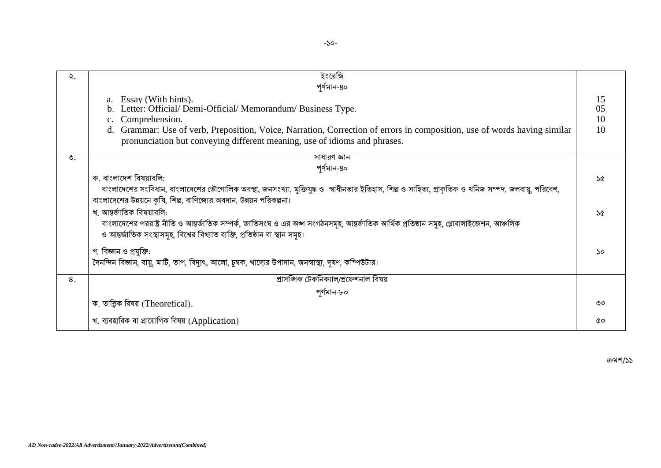| ২.              | ইংরেজি                                                                                                                                                                                                                                                                                                           |                      |
|-----------------|------------------------------------------------------------------------------------------------------------------------------------------------------------------------------------------------------------------------------------------------------------------------------------------------------------------|----------------------|
|                 | পৰ্ণমান-৪০                                                                                                                                                                                                                                                                                                       |                      |
|                 | a. Essay (With hints).<br>Letter: Official/ Demi-Official/ Memorandum/ Business Type.<br>c. Comprehension.<br>Grammar: Use of verb, Preposition, Voice, Narration, Correction of errors in composition, use of words having similar<br>pronunciation but conveying different meaning, use of idioms and phrases. | 15<br>05<br>10<br>10 |
| $\mathcal{O}$ . | সাধারণ জ্ঞান                                                                                                                                                                                                                                                                                                     |                      |
|                 | পৰ্ণমান-৪০                                                                                                                                                                                                                                                                                                       |                      |
|                 | ক. বাংলাদেশ বিষয়াবলি:                                                                                                                                                                                                                                                                                           | $\mathcal{A}$        |
|                 | বাংলাদেশের সংবিধান, বাংলাদেশের ভৌগোলিক অবস্থা, জনসংখ্যা, মুক্তিযুদ্ধ ও স্বাধীনতার ইতিহাস, শিল্প ও সাহিত্য, প্রাকৃতিক ও খনিজ সম্পদ, জলবায়ু, পরিবেশ,                                                                                                                                                              |                      |
|                 | বাংলাদেশের উন্নয়নে কৃষি, শিল্প, বাণিজ্যের অবদান, উন্নয়ন পরিকল্পনা।                                                                                                                                                                                                                                             |                      |
|                 | খ. আন্তর্জাতিক বিষয়াবলি:                                                                                                                                                                                                                                                                                        | ১৫                   |
|                 | বাংলাদেশের পররাষ্ট্র নীতি ও আন্তর্জাতিক সম্পর্ক, জাতিসংঘ ও এর অঙ্গ সংগঠনসমূহ, আন্তর্জাতিক আর্থিক প্রতিষ্ঠান সমূহ, গ্লোবালাইজেশন, আঞ্চলিক                                                                                                                                                                         |                      |
|                 | ও আন্তর্জাতিক সংস্থাসমূহ, বিশ্বের বিখ্যাত ব্যক্তি, প্রতিষ্ঠান বা স্থান সমূহ।                                                                                                                                                                                                                                     |                      |
|                 | গ. বিজ্ঞান ও প্রযুক্তি:                                                                                                                                                                                                                                                                                          | 50                   |
|                 | দৈনন্দিন বিজ্ঞান, বায়ু, মাটি, তাপ, বিদ্যুৎ, আলো, চুম্বক, খাদ্যের উপাদান, জনস্বাস্থ্য, দৃষণ, কম্পিউটার।                                                                                                                                                                                                          |                      |
| 8.              | প্ৰাসজ্ঞিক টেকনিক্যাল/প্ৰফেশনাল বিষয়                                                                                                                                                                                                                                                                            |                      |
|                 | পৰ্ণমান-৮০                                                                                                                                                                                                                                                                                                       |                      |
|                 | ক. তাত্ত্বিক বিষয় (Theoretical).                                                                                                                                                                                                                                                                                | 00 <sub>o</sub>      |
|                 | খ. ব্যবহারিক বা প্রায়োগিক বিষয় (Application)                                                                                                                                                                                                                                                                   | QΟ                   |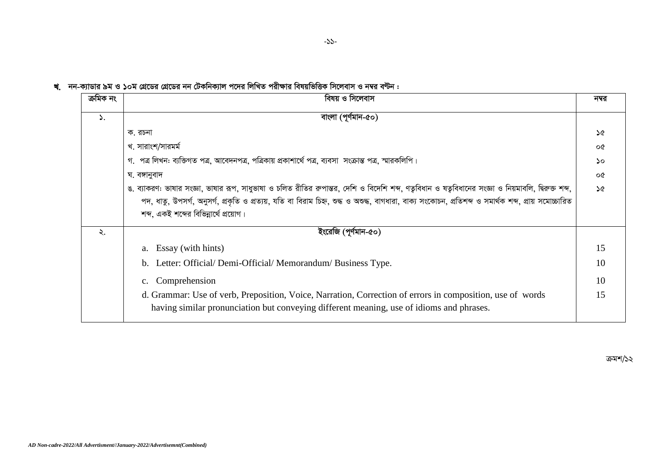খ. নন-ক্যাডার ৯ম ও ১০ম গ্রেডের গ্রেডের নন টেকনিক্যাল পদের লিখিত পরীক্ষার বিষয়ভিত্তিক সিলেবাস ও নম্বর বন্টন :

| ক্ৰমিক নং     | বিষয় ও সিলেবাস                                                                                                                                                                                 | নম্বর         |
|---------------|-------------------------------------------------------------------------------------------------------------------------------------------------------------------------------------------------|---------------|
| $\mathcal{L}$ | বাংলা (পূৰ্ণমান-৫০)                                                                                                                                                                             |               |
|               | ক. রচনা                                                                                                                                                                                         | ১৫            |
|               | খ. সারাংশ/সারমর্ম                                                                                                                                                                               | oQ            |
|               | গ. পত্র লিখন: ব্যক্তিগত পত্র, আবেদনপত্র, পত্রিকায় প্রকাশার্থে পত্র, ব্যবসা সংক্রান্ত পত্র, স্মারকলিপি।                                                                                         | ১০            |
|               | ঘ. বঙ্গানুবাদ                                                                                                                                                                                   | oQ            |
|               | ঙ. ব্যাকরণ: ভাষার সংজ্ঞা, ভাষার রূপ, সাধুভাষা ও চলিত রীতির রুপান্তর, দেশি ও বিদেশি শব্দ, ণতুবিধান ও ষতুবিধানের সংজ্ঞা ও নিয়মাবলি, দ্বিরুক্ত শব্দ,                                              | $\mathcal{A}$ |
|               | পদ, ধাতু, উপসর্গ, অনুসর্গ, প্রকৃতি ও প্রত্যয়, যতি বা বিরাম চিহ্ন, শুদ্ধ ও অশুদ্ধ, বাগধারা, বাক্য সংকোচন, প্রতিশব্দ ও সমার্থক শব্দ, প্রায় সমোচ্চারিত<br>শব্দ, একই শব্দের বিভিন্নার্থে প্রয়োগ। |               |
|               |                                                                                                                                                                                                 |               |
| ২.            | ইংরেজি (পূর্ণমান-৫০)                                                                                                                                                                            |               |
|               | Essay (with hints)<br>a.                                                                                                                                                                        | 15            |
|               | Letter: Official/ Demi-Official/ Memorandum/ Business Type.<br>b.                                                                                                                               | 10            |
|               | Comprehension<br>$c_{\cdot}$                                                                                                                                                                    | 10            |
|               | d. Grammar: Use of verb, Preposition, Voice, Narration, Correction of errors in composition, use of words                                                                                       | 15            |
|               | having similar pronunciation but conveying different meaning, use of idioms and phrases.                                                                                                        |               |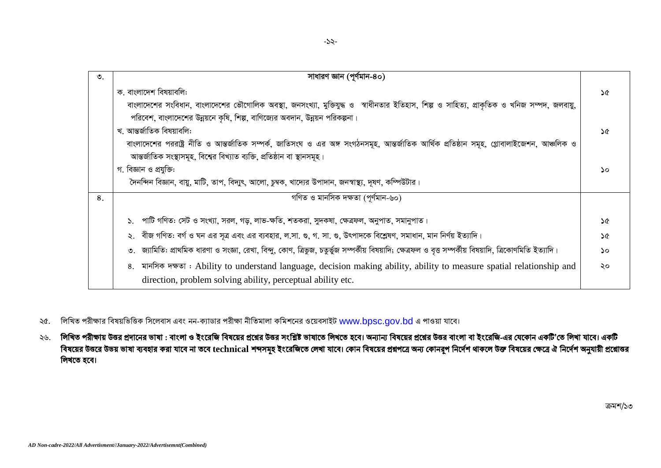| $\mathcal{O}$ . | সাধারণ জ্ঞান (পূর্ণমান-৪০)                                                                                                                                                            |    |
|-----------------|---------------------------------------------------------------------------------------------------------------------------------------------------------------------------------------|----|
|                 | ক. বাংলাদেশ বিষয়াবলি:                                                                                                                                                                | ১৫ |
|                 | বাংলাদেশের সংবিধান, বাংলাদেশের ভৌগোলিক অবস্থা, জনসংখ্যা, মুক্তিযুদ্ধ ও স্বাধীনতার ইতিহাস, শিল্প ও সাহিত্য, প্রাকৃতিক ও খনিজ সম্পদ, জলবায়ু,                                           |    |
|                 | পরিবেশ, বাংলাদেশের উন্নয়নে কৃষি, শিল্প, বাণিজ্যের অবদান, উন্নয়ন পরিকল্পনা।                                                                                                          |    |
|                 | খ. আন্তৰ্জাতিক বিষয়াবলি:                                                                                                                                                             | ১৫ |
|                 | বাংলাদেশের পররাষ্ট্র নীতি ও আন্তর্জাতিক সম্পর্ক, জাতিসংঘ ও এর অঙ্গ সংগঠনসমূহ, আন্তর্জাতিক আর্থিক প্রতিষ্ঠান সমূহ, গ্লোবালাইজেশন, আঞ্চলিক ও                                            |    |
|                 | আন্তর্জাতিক সংস্থাসমূহ, বিশ্বের বিখ্যাত ব্যক্তি, প্রতিষ্ঠান বা স্থানসমূহ।                                                                                                             |    |
|                 | গ. বিজ্ঞান ও প্রযুক্তি:                                                                                                                                                               | ۵o |
|                 | দৈনন্দিন বিজ্ঞান, বায়ু, মাটি, তাপ, বিদ্যুৎ, আলো, চুম্বক, খাদ্যের উপাদান, জনস্বাস্থ্য, দূষণ, কম্পিউটার।                                                                               |    |
| 8.              | গণিত ও মানসিক দক্ষতা (পূৰ্ণমান-৬০)                                                                                                                                                    |    |
|                 | পাটি গণিত: সেট ও সংখ্যা, সরল, গড়, লাভ-ক্ষতি, শতকরা, সুদকষা, ক্ষেত্রফল, অনুপাত, সমানুপাত।                                                                                             | ১৫ |
|                 | বীজ গণিত: বর্গ ও ঘন এর সূত্র এবং এর ব্যবহার, ল.সা. গু, গ. সা. গু, উৎপাদকে বিশ্লেষণ, সমাধান, মান নির্ণয় ইত্যাদি।                                                                      | ১৫ |
|                 | জ্যামিতি: প্রাথমিক ধারণা ও সংজ্ঞা, রেখা, বিন্দু, কোণ, ত্রিভুজ, চতুর্ভুজ সম্পর্কীয় বিষয়াদি; ক্ষেত্রফল ও বৃত্ত সম্পর্কীয় বিষয়াদি, ত্রিকোণমিতি ইত্যাদি।                              | ১০ |
|                 | 8. गानजिक मक्षण : Ability to understand language, decision making ability, ability to measure spatial relationship and<br>direction, problem solving ability, perceptual ability etc. | ২০ |

- ২৫. লিখিত পরীক্ষার বিষয়ভিত্তিক সিলেবাস এবং নন-ক্যাডার পরীক্ষা নীতিমালা কমিশনের ওয়েবসাইট www.bpsc.gov.bd এ পাওয়া যাবে।
- ২৬. লিখিত পরীক্ষায় উত্তর প্রদানের ভাষা : বাংলা ও ইংরেজি বিষয়ের প্রশ্লের উত্তর জখতে হবে। অন্যান্য বিষয়ের প্রশ্লের উত্তর বাংলা বা ইংরেজি-এর যেকোন একটি'তে লিখা যাবে। একটি বিষয়ের উত্তরে উভয় ভাষা ব্যবহার করা যাবে না তবে technical শব্দসমূহ ইংরেজিতে লেখা যাবে। কোন প্রশ্বরে অন্য কোনরূপ নির্দেশ থাকলে উক্ত বিষয়ের ক্ষেত্রে ঐ নির্দেশ অনুযায়ী প্রশ্নোত্তর লিখতে হবে।

ক্ৰমশ/১৩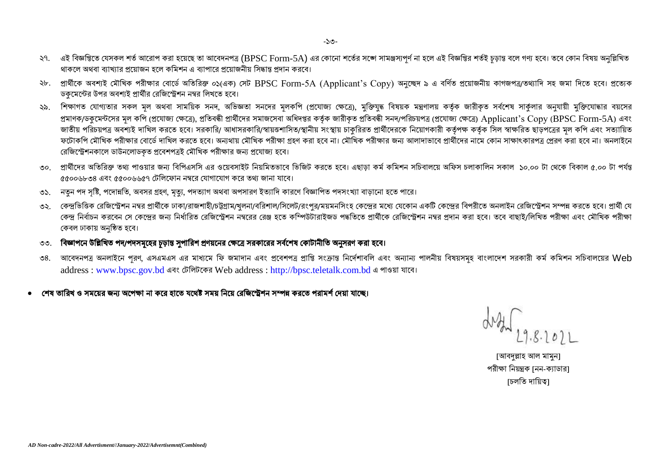- ২৭. এই বিজ্ঞপ্তিতে যেসকল শর্ত আরোপ করা হয়েছে তা আবেদনপত্র (BPSC Form-5A) এর কোনো শর্তের সজেসাপুর্ণ না হলে এই বিজ্ঞপ্তির শর্তই চূড়ান্ত বলে গণ্য হবে। তবে কোন বিষয় অনুল্লিখিত থাকলে অথবা ব্যাখ্যার পয়োজন হলে কমিশন এ ব্যাপারে পয়োজনীয় সিদ্ধান্ত পদান করবে।
- ২৮. প্রার্থীকে অবশ্যই মৌখিক পরীক্ষার বোর্ডে অতিরিক্ত ০১(এক) সেট BPSC Form-5A (Applicant's Copy) অনুচ্ছেদ ৯ এ বর্ণিত প্রয়োজনীয় কাগজপত্র/তথ্যাদি সহ জমা দিতে হবে। প্রত্যেক ডকমেন্টের উপর অবশ্যই প্রার্থীর রেজিস্ট্রেশন নম্বর লিখতে হবে।
- ২৯. শিক্ষাগত যোগ্যতার সকল মল অথবা সাময়িক সনদ, অভিজ্ঞতা সনদের মলকপি (প্রযোজ্য ক্ষেত্ব্য মন্ত্রণালয় কর্তক জারীকৃত সর্বশেষ সার্কলার অনুযায়ী মুক্তিযোদ্ধার বয়সের প্রমাণক/ডকুমেন্টসের মূল কপি (প্রযোজ্য ক্ষেত্রে), প্রতিবন্ধী প্রার্থীদের সমর্গক জারীক পরা প্রতিবন্ধী সনদ/পরিচয়পত্র (প্রযোজ্য ক্ষেত্রে) Applicant's Copy (BPSC Form-5A) এবং জাতীয় পরিচয়পত্র অবশ্যই দাখিল করতে হবে। সরকারি/ আধাসরকারি/স্বায়তশাসিত/স্থানীয় সংস্থায় চাকুরিরত বার্থীদেরকে নিয়োগকারী কর্তৃপক্ষ কর্তৃক সিল স্বাক্ষরিত ছাড়পত্রের মূল কপি এবং সত্যায়িত ফটোকপি মৌখিক পরীক্ষার বোর্ডে দাখিল করতে হবে। অন্যথায় মৌখিক পরীক্ষা গ্রহণ করা হবে না। মৌখিক পরীক্ষার জন্য আলাদাভাবে প্রার্থীদের নামে কোন সাক্ষাৎকারপত্র প্রেরণ করা হবে না। অনলাইনে রেজিস্ট্রেশনকালে ডাউনলোডকত প্রবেশপত্রই মৌখিক পরীক্ষার জন্য প্রযোজ্য হবে।
- ৩০. প্রার্থীদের অতিরিক্ত তথ্য পাওয়ার জন্য বিপিএসসি এর ওয়েবসাইট নিয়মিতভাবে ভিজিট করতে হবে। এছাডা কর্মি সচিবালয়ে অফিস চলাকালিন সকাল ১০.০০ টা থেকে বিকাল ৫.০০ টা পর্যন্ত ৫৫০০৬৮৩৪ এবং ৫৫০০৬৬৫৭ টেলিফোন নম্বরে যোগাযোগ করে তথা জানা যাবে।
- ৩১. নতুন পদ সৃষ্টি, পদোন্নতি, অবসর গ্রহণ, মৃত্যু, পদত্যাগ অথবা অপসারণ ইত্যাদি কারণে বিজ্ঞাপিত পদসংখ্যা বাড়ানো হতে পারে।
- ৩২. কেন্দ্রভিত্তিক রেজিস্ট্রেশন নম্বর প্রার্থীকে ঢাকা/রাজশাহী/চট্টগ্রাম/খুলনা/বরিশাল/সিলেট/রংপুর/ময়মনসিংহ কেন্দ্রের মধ্য যেকোন একটি কেন্দ্রের বিপরীতে অনলাইন রেজিস্ট্রেশন সম্পন্ন করতে হবে। প্রার্থী যে কেন্দ্র নির্বাচন করবেন সে কেন্দ্রের জন্য নির্ধারিত রেজিস্ট্রেশন নম্বরের রেঞ্জ এর নির্বাচিত প্রার্থীকে রেজিস্ট্রেশন নম্বর প্রদান করা হবে। তবে বাছাই/লিখিত পরীক্ষা এবং মৌখিক পরীক্ষা কেবল ঢাকায় অনুষ্ঠিত হবে।
- ৩৩. বিজ্ঞাপনে উল্লিখিত পদ/পদসমূহের চূড়ান্ত সুপারিশ প্রণয়নের ক্ষেত্রে সরকারের সর্বশেষ কোটানীতি অনুসরণ করা হবে।
- ৩৪. আবেদনপত্র অনলাইনে পরণ, এসএমএস এর মাধ্যমে ফি জমাদান এবং প্রবেশপত্র প্রাপ্তি সংক্রান্ত অন্যন্য পালনীয় বিষয়সমূহ বাংলাদেশ সরকারী কর্ম কমিশন সচিবালয়ের Web address : [www.bpsc.gov.bd](http://www.bpsc.gov.bd/) এবং টেলিটকের Web address : [http://bpsc.teletalk.com.bd](http://bpsc.teletalk.com.bd/) এ পাওয়া যাবে।
- শেষ তারিখ ও সময়ের জন্য অপেক্ষা না করে হাতে যথেষ্ট সময় নিয়ে রেজিস্টেশন সম্পন্ন করতে পরামর্শ দেয়া যাছে।

[আবদুল্লাহ আল মামুন] পরীক্ষা নিয়ন্ত্রক নেন-ক্যাডার৷ [চলতি দায়িত্ব]